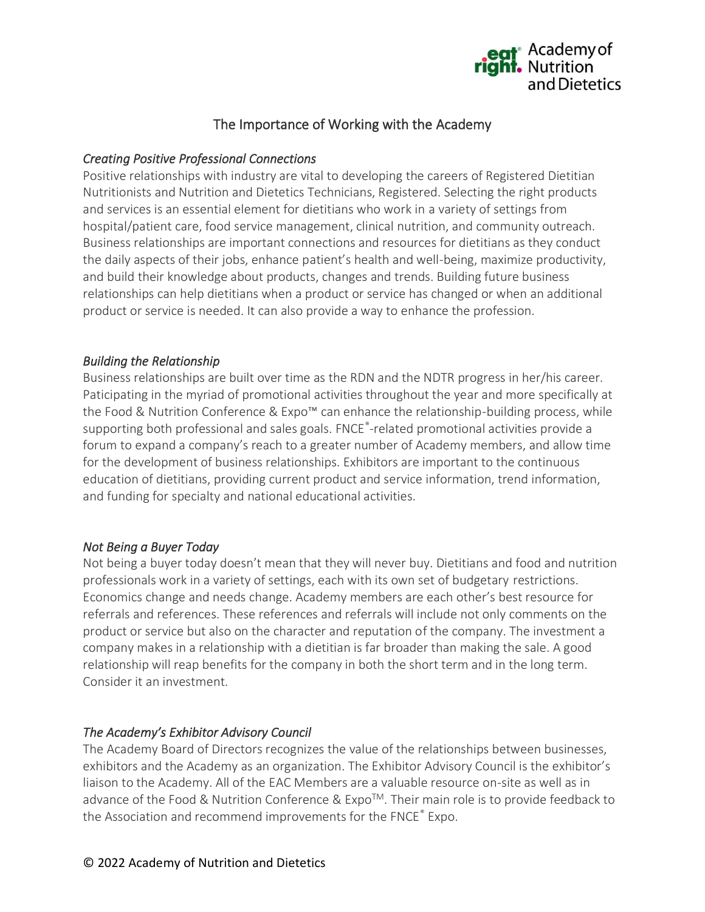

# The Importance of Working with the Academy

### *Creating Positive Professional Connections*

Positive relationships with industry are vital to developing the careers of Registered Dietitian Nutritionists and Nutrition and Dietetics Technicians, Registered. Selecting the right products and services is an essential element for dietitians who work in a variety of settings from hospital/patient care, food service management, clinical nutrition, and community outreach. Business relationships are important connections and resources for dietitians as they conduct the daily aspects of their jobs, enhance patient's health and well-being, maximize productivity, and build their knowledge about products, changes and trends. Building future business relationships can help dietitians when a product or service has changed or when an additional product or service is needed. It can also provide a way to enhance the profession.

#### *Building the Relationship*

Business relationships are built over time as the RDN and the NDTR progress in her/his career. Paticipating in the myriad of promotional activities throughout the year and more specifically at the Food & Nutrition Conference & Expo™ can enhance the relationship-building process, while supporting both professional and sales goals. FNCE®-related promotional activities provide a forum to expand a company's reach to a greater number of Academy members, and allow time for the development of business relationships. Exhibitors are important to the continuous education of dietitians, providing current product and service information, trend information, and funding for specialty and national educational activities.

#### *Not Being a Buyer Today*

Not being a buyer today doesn't mean that they will never buy. Dietitians and food and nutrition professionals work in a variety of settings, each with its own set of budgetary restrictions. Economics change and needs change. Academy members are each other's best resource for referrals and references. These references and referrals will include not only comments on the product or service but also on the character and reputation of the company. The investment a company makes in a relationship with a dietitian is far broader than making the sale. A good relationship will reap benefits for the company in both the short term and in the long term. Consider it an investment.

## *The Academy's Exhibitor Advisory Council*

The Academy Board of Directors recognizes the value of the relationships between businesses, exhibitors and the Academy as an organization. The Exhibitor Advisory Council is the exhibitor's liaison to the Academy. All of the EAC Members are a valuable resource on-site as well as in advance of the Food & Nutrition Conference & Expo™. Their main role is to provide feedback to the Association and recommend improvements for the FNCE® Expo.